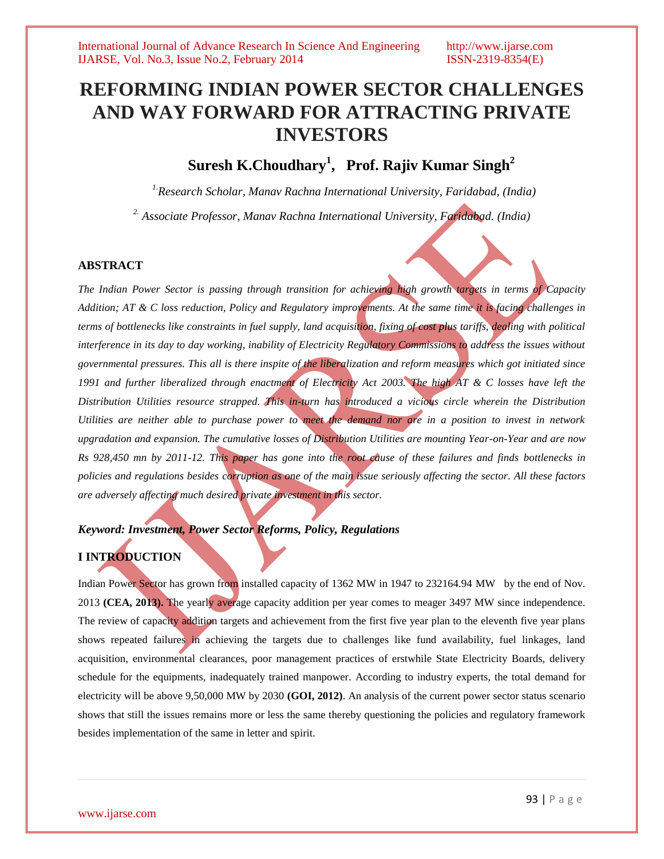# **REFORMING INDIAN POWER SECTOR CHALLENGES AND WAY FORWARD FOR ATTRACTING PRIVATE INVESTORS**

## **Suresh K.Choudhary<sup>1</sup> , Prof. Rajiv Kumar Singh<sup>2</sup>**

*1.Research Scholar, Manav Rachna International University, Faridabad, (India)*

*2. Associate Professor, Manav Rachna International University, Faridabad. (India)*

### **ABSTRACT**

*The Indian Power Sector is passing through transition for achieving high growth targets in terms of Capacity Addition; AT & C loss reduction, Policy and Regulatory improvements. At the same time it is facing challenges in terms of bottlenecks like constraints in fuel supply, land acquisition, fixing of cost plus tariffs, dealing with political interference in its day to day working, inability of Electricity Regulatory Commissions to address the issues without governmental pressures. This all is there inspite of the liberalization and reform measures which got initiated since 1991 and further liberalized through enactment of Electricity Act 2003. The high AT & C losses have left the Distribution Utilities resource strapped. This in-turn has introduced a vicious circle wherein the Distribution Utilities are neither able to purchase power to meet the demand nor are in a position to invest in network upgradation and expansion. The cumulative losses of Distribution Utilities are mounting Year-on-Year and are now Rs 928,450 mn by 2011-12. This paper has gone into the root cause of these failures and finds bottlenecks in policies and regulations besides corruption as one of the main issue seriously affecting the sector. All these factors are adversely affecting much desired private investment in this sector.*

### *Keyword: Investment, Power Sector Reforms, Policy, Regulations*

### **I INTRODUCTION**

Indian Power Sector has grown from installed capacity of 1362 MW in 1947 to 232164.94 MW by the end of Nov. 2013 **(CEA, 2013).** The yearly average capacity addition per year comes to meager 3497 MW since independence. The review of capacity addition targets and achievement from the first five year plan to the eleventh five year plans shows repeated failures in achieving the targets due to challenges like fund availability, fuel linkages, land acquisition, environmental clearances, poor management practices of erstwhile State Electricity Boards, delivery schedule for the equipments, inadequately trained manpower. According to industry experts, the total demand for electricity will be above 9,50,000 MW by 2030 **(GOI, 2012)**. An analysis of the current power sector status scenario shows that still the issues remains more or less the same thereby questioning the policies and regulatory framework besides implementation of the same in letter and spirit.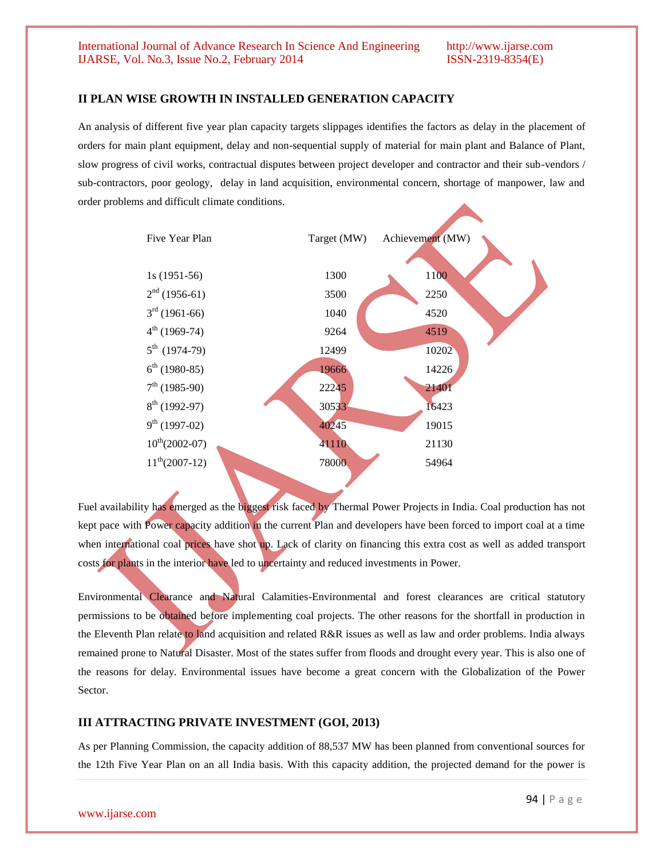### **II PLAN WISE GROWTH IN INSTALLED GENERATION CAPACITY**

An analysis of different five year plan capacity targets slippages identifies the factors as delay in the placement of orders for main plant equipment, delay and non-sequential supply of material for main plant and Balance of Plant, slow progress of civil works, contractual disputes between project developer and contractor and their sub-vendors / sub-contractors, poor geology, delay in land acquisition, environmental concern, shortage of manpower, law and order problems and difficult climate conditions.



Fuel availability has emerged as the biggest risk faced by Thermal Power Projects in India. Coal production has not kept pace with Power capacity addition in the current Plan and developers have been forced to import coal at a time when international coal prices have shot up. Lack of clarity on financing this extra cost as well as added transport costs for plants in the interior have led to uncertainty and reduced investments in Power.

Environmental Clearance and Natural Calamities-Environmental and forest clearances are critical statutory permissions to be obtained before implementing coal projects. The other reasons for the shortfall in production in the Eleventh Plan relate to land acquisition and related R&R issues as well as law and order problems. India always remained prone to Natural Disaster. Most of the states suffer from floods and drought every year. This is also one of the reasons for delay. Environmental issues have become a great concern with the Globalization of the Power Sector.

### **III ATTRACTING PRIVATE INVESTMENT (GOI, 2013)**

As per Planning Commission, the capacity addition of 88,537 MW has been planned from conventional sources for the 12th Five Year Plan on an all India basis. With this capacity addition, the projected demand for the power is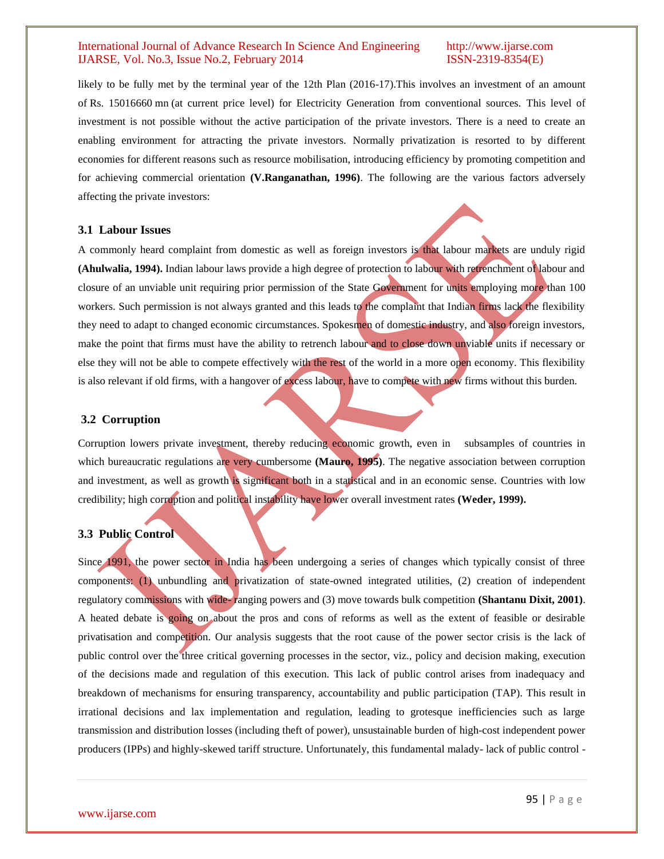likely to be fully met by the terminal year of the 12th Plan (2016-17).This involves an investment of an amount of Rs. 15016660 mn (at current price level) for Electricity Generation from conventional sources. This level of investment is not possible without the active participation of the private investors. There is a need to create an enabling environment for attracting the private investors. Normally privatization is resorted to by different economies for different reasons such as resource mobilisation, introducing efficiency by promoting competition and for achieving commercial orientation **(V.Ranganathan, 1996)**. The following are the various factors adversely affecting the private investors:

### **3.1 Labour Issues**

A commonly heard complaint from domestic as well as foreign investors is that labour markets are unduly rigid **(Ahulwalia, 1994).** Indian labour laws provide a high degree of protection to labour with retrenchment of labour and closure of an unviable unit requiring prior permission of the State Government for units employing more than 100 workers. Such permission is not always granted and this leads to the complaint that Indian firms lack the flexibility they need to adapt to changed economic circumstances. Spokesmen of domestic industry, and also foreign investors, make the point that firms must have the ability to retrench labour and to close down unviable units if necessary or else they will not be able to compete effectively with the rest of the world in a more open economy. This flexibility is also relevant if old firms, with a hangover of excess labour, have to compete with new firms without this burden.

### **3.2 Corruption**

Corruption lowers private investment, thereby reducing economic growth, even in subsamples of countries in which bureaucratic regulations are very cumbersome **(Mauro, 1995)**. The negative association between corruption and investment, as well as growth is significant both in a statistical and in an economic sense. Countries with low credibility; high corruption and political instability have lower overall investment rates **(Weder, 1999).**

### **3.3 Public Control**

Since 1991, the power sector in India has been undergoing a series of changes which typically consist of three components: (1) unbundling and privatization of state-owned integrated utilities, (2) creation of independent regulatory commissions with wide- ranging powers and (3) move towards bulk competition **(Shantanu Dixit, 2001)**. A heated debate is going on about the pros and cons of reforms as well as the extent of feasible or desirable privatisation and competition. Our analysis suggests that the root cause of the power sector crisis is the lack of public control over the three critical governing processes in the sector, viz., policy and decision making, execution of the decisions made and regulation of this execution. This lack of public control arises from inadequacy and breakdown of mechanisms for ensuring transparency, accountability and public participation (TAP). This result in irrational decisions and lax implementation and regulation, leading to grotesque inefficiencies such as large transmission and distribution losses (including theft of power), unsustainable burden of high-cost independent power producers (IPPs) and highly-skewed tariff structure. Unfortunately, this fundamental malady- lack of public control -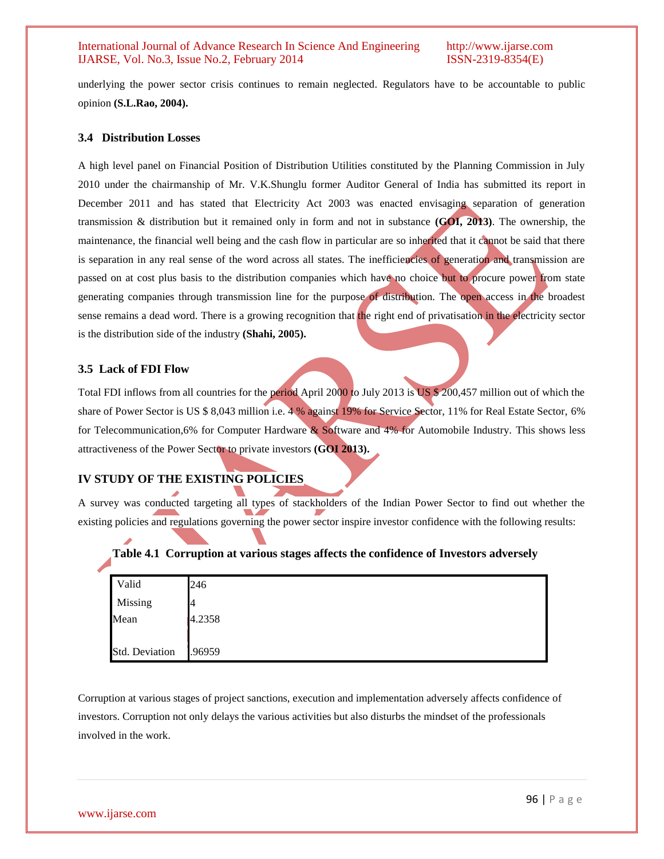underlying the power sector crisis continues to remain neglected. Regulators have to be accountable to public opinion **(S.L.Rao, 2004).**

### **3.4 Distribution Losses**

A high level panel on Financial Position of Distribution Utilities constituted by the Planning Commission in July 2010 under the chairmanship of Mr. V.K.Shunglu former Auditor General of India has submitted its report in December 2011 and has stated that Electricity Act 2003 was enacted envisaging separation of generation transmission & distribution but it remained only in form and not in substance **(GOI, 2013)**. The ownership, the maintenance, the financial well being and the cash flow in particular are so inherited that it cannot be said that there is separation in any real sense of the word across all states. The inefficiencies of generation and transmission are passed on at cost plus basis to the distribution companies which have no choice but to procure power from state generating companies through transmission line for the purpose of distribution. The open access in the broadest sense remains a dead word. There is a growing recognition that the right end of privatisation in the electricity sector is the distribution side of the industry **(Shahi, 2005).**

### **3.5 Lack of FDI Flow**

Total FDI inflows from all countries for the period April 2000 to July 2013 is US \$ 200,457 million out of which the share of Power Sector is US \$ 8,043 million i.e. 4 % against 19% for Service Sector, 11% for Real Estate Sector, 6% for Telecommunication,6% for Computer Hardware & Software and 4% for Automobile Industry. This shows less attractiveness of the Power Sector to private investors **(GOI 2013).**

### **IV STUDY OF THE EXISTING POLICIES**

A survey was conducted targeting all types of stackholders of the Indian Power Sector to find out whether the existing policies and regulations governing the power sector inspire investor confidence with the following results:

| Valid          | 246    |
|----------------|--------|
| Missing        | 4      |
| Mean           | 4.2358 |
|                |        |
| Std. Deviation | .96959 |

### **Table 4.1 Corruption at various stages affects the confidence of Investors adversely**

Corruption at various stages of project sanctions, execution and implementation adversely affects confidence of investors. Corruption not only delays the various activities but also disturbs the mindset of the professionals involved in the work.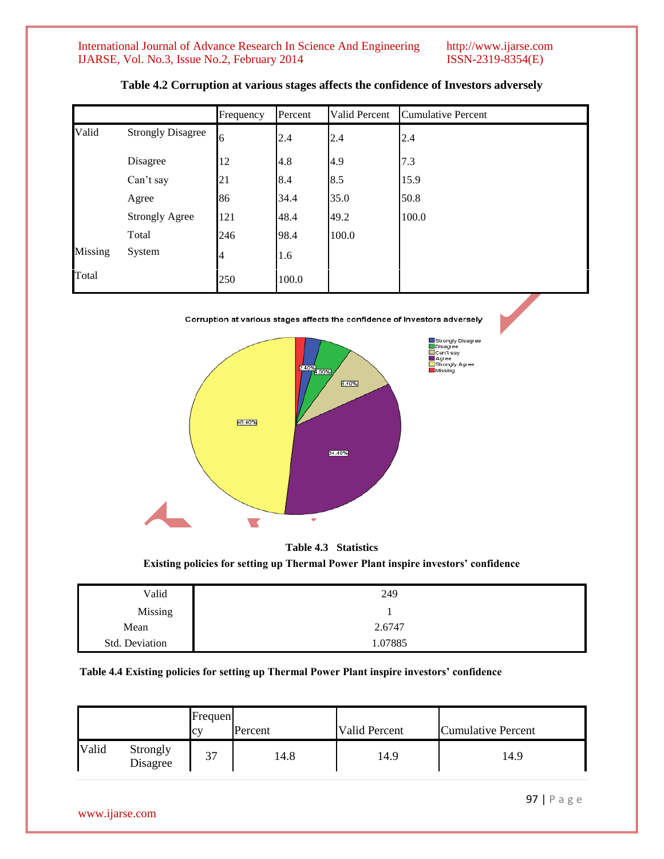|         |                          | Frequency | Percent | Valid Percent | <b>Cumulative Percent</b> |
|---------|--------------------------|-----------|---------|---------------|---------------------------|
| Valid   | <b>Strongly Disagree</b> | 6         | 2.4     | 2.4           | 2.4                       |
|         | Disagree                 | 12        | 4.8     | 4.9           | 7.3                       |
|         | Can't say                | 21        | 8.4     | 8.5           | 15.9                      |
|         | Agree                    | 86        | 34.4    | 35.0          | 50.8                      |
|         | <b>Strongly Agree</b>    | 121       | 48.4    | 49.2          | 100.0                     |
|         | Total                    | 246       | 98.4    | 100.0         |                           |
| Missing | System                   | 4         | 1.6     |               |                           |
| Total   |                          | 250       | 100.0   |               |                           |

### **Table 4.2 Corruption at various stages affects the confidence of Investors adversely**



**Table 4.3 Statistics Existing policies for setting up Thermal Power Plant inspire investors' confidence**

| Valid          | 249     |
|----------------|---------|
| Missing        |         |
| Mean           | 2.6747  |
| Std. Deviation | 1.07885 |

### **Table 4.4 Existing policies for setting up Thermal Power Plant inspire investors' confidence**

|       |                      | Frequen<br>$\mathbf{C}^{\mathbf{V}}$ | Percent | <b>Valid Percent</b> | <b>Cumulative Percent</b> |
|-------|----------------------|--------------------------------------|---------|----------------------|---------------------------|
| Valid | Strongly<br>Disagree | 37                                   | 14.8    | 14.9                 | 14.9                      |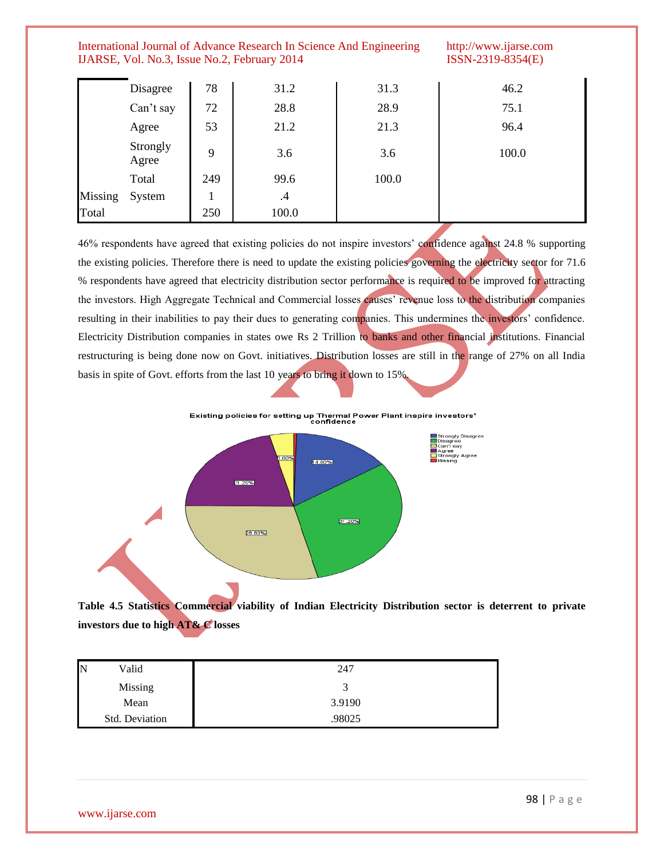| Total   |                   | 250 | 100.0     |       |       |
|---------|-------------------|-----|-----------|-------|-------|
| Missing | System            | 1   | $\cdot$ 4 |       |       |
|         | Total             | 249 | 99.6      | 100.0 |       |
|         | Strongly<br>Agree | 9   | 3.6       | 3.6   | 100.0 |
|         | Agree             | 53  | 21.2      | 21.3  | 96.4  |
|         | Can't say         | 72  | 28.8      | 28.9  | 75.1  |
|         | Disagree          | 78  | 31.2      | 31.3  | 46.2  |

46% respondents have agreed that existing policies do not inspire investors' confidence against 24.8 % supporting the existing policies. Therefore there is need to update the existing policies governing the electricity sector for 71.6 % respondents have agreed that electricity distribution sector performance is required to be improved for attracting the investors. High Aggregate Technical and Commercial losses causes' revenue loss to the distribution companies resulting in their inabilities to pay their dues to generating companies. This undermines the investors' confidence. Electricity Distribution companies in states owe Rs 2 Trillion to banks and other financial institutions. Financial restructuring is being done now on Govt. initiatives. Distribution losses are still in the range of 27% on all India basis in spite of Govt. efforts from the last 10 years to bring it down to 15%.

### Existing policies for setting up Thermal Power Plant inspire investors'<br>confidence



**Table 4.5 Statistics Commercial viability of Indian Electricity Distribution sector is deterrent to private investors due to high AT& C losses**

| IN<br>Valid    | 247    |
|----------------|--------|
| Missing        |        |
| Mean           | 3.9190 |
| Std. Deviation | .98025 |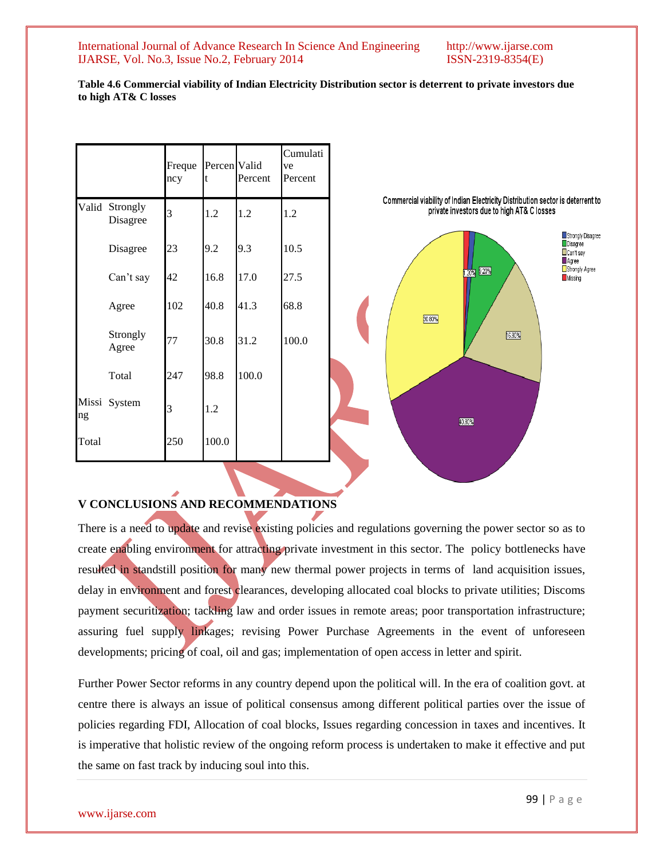**Table 4.6 Commercial viability of Indian Electricity Distribution sector is deterrent to private investors due to high AT& C losses**



## **V CONCLUSIONS AND RECOMMENDATIONS**

There is a need to update and revise existing policies and regulations governing the power sector so as to create enabling environment for attracting private investment in this sector. The policy bottlenecks have resulted in standstill position for many new thermal power projects in terms of land acquisition issues, delay in environment and forest clearances, developing allocated coal blocks to private utilities; Discoms payment securitization; tackling law and order issues in remote areas; poor transportation infrastructure; assuring fuel supply linkages; revising Power Purchase Agreements in the event of unforeseen developments; pricing of coal, oil and gas; implementation of open access in letter and spirit.

Further Power Sector reforms in any country depend upon the political will. In the era of coalition govt. at centre there is always an issue of political consensus among different political parties over the issue of policies regarding FDI, Allocation of coal blocks, Issues regarding concession in taxes and incentives. It is imperative that holistic review of the ongoing reform process is undertaken to make it effective and put the same on fast track by inducing soul into this.